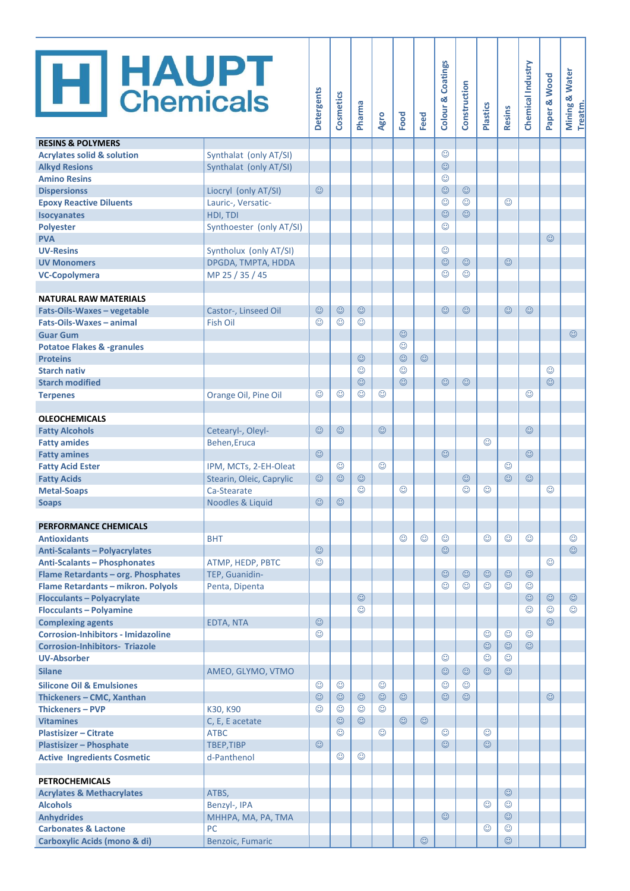| <b>H</b> HAUPT                                           |                                | Detergents | <b>Cosmetics</b>   | Pharma             | Agro    | Food    | Feed    | <b>Colour &amp; Coatings</b> | Construction | <b>Plastics</b> | <b>Resins</b> | Chemical Industry | Paper & Wood | Mining & Water<br>Treatm. |
|----------------------------------------------------------|--------------------------------|------------|--------------------|--------------------|---------|---------|---------|------------------------------|--------------|-----------------|---------------|-------------------|--------------|---------------------------|
| <b>RESINS &amp; POLYMERS</b>                             |                                |            |                    |                    |         |         |         |                              |              |                 |               |                   |              |                           |
| <b>Acrylates solid &amp; solution</b>                    | Synthalat (only AT/SI)         |            |                    |                    |         |         |         | $\odot$<br>$\odot$           |              |                 |               |                   |              |                           |
| <b>Alkyd Resions</b><br><b>Amino Resins</b>              | Synthalat (only AT/SI)         |            |                    |                    |         |         |         | $\odot$                      |              |                 |               |                   |              |                           |
| <b>Dispersionss</b>                                      | Liocryl (only AT/SI)           | $\odot$    |                    |                    |         |         |         | $\odot$                      | $\odot$      |                 |               |                   |              |                           |
| <b>Epoxy Reactive Diluents</b>                           | Lauric-, Versatic-             |            |                    |                    |         |         |         | $\odot$                      | ☺            |                 | ☺             |                   |              |                           |
| <b>Isocyanates</b>                                       | HDI, TDI                       |            |                    |                    |         |         |         | $\odot$                      | $\odot$      |                 |               |                   |              |                           |
| <b>Polyester</b>                                         | Synthoester (only AT/SI)       |            |                    |                    |         |         |         | ☺                            |              |                 |               |                   |              |                           |
| <b>PVA</b>                                               |                                |            |                    |                    |         |         |         |                              |              |                 |               |                   | $\odot$      |                           |
| <b>UV-Resins</b>                                         | Syntholux (only AT/SI)         |            |                    |                    |         |         |         | $\odot$                      |              |                 |               |                   |              |                           |
| <b>UV Monomers</b>                                       | DPGDA, TMPTA, HDDA             |            |                    |                    |         |         |         | $\odot$                      | $\odot$      |                 | $\odot$       |                   |              |                           |
| <b>VC-Copolymera</b>                                     | MP 25 / 35 / 45                |            |                    |                    |         |         |         | ☺                            | ☺            |                 |               |                   |              |                           |
|                                                          |                                |            |                    |                    |         |         |         |                              |              |                 |               |                   |              |                           |
| <b>NATURAL RAW MATERIALS</b>                             |                                |            |                    |                    |         |         |         |                              |              |                 |               |                   |              |                           |
| Fats-Oils-Waxes - vegetable                              | Castor-, Linseed Oil           | $\odot$    | $\odot$            | $\odot$            |         |         |         | $\odot$                      | $\odot$      |                 | $\odot$       | $\odot$           |              |                           |
| Fats-Oils-Waxes - animal                                 | <b>Fish Oil</b>                | ☺          | ☺                  | $\odot$            |         | $\odot$ |         |                              |              |                 |               |                   |              | $\odot$                   |
| <b>Guar Gum</b>                                          |                                |            |                    |                    |         | $\odot$ |         |                              |              |                 |               |                   |              |                           |
| <b>Potatoe Flakes &amp; -granules</b><br><b>Proteins</b> |                                |            |                    | $\odot$            |         | $\odot$ | $\odot$ |                              |              |                 |               |                   |              |                           |
| <b>Starch nativ</b>                                      |                                |            |                    | $\odot$            |         | $\odot$ |         |                              |              |                 |               |                   | $\odot$      |                           |
| <b>Starch modified</b>                                   |                                |            |                    | $\odot$            |         | $\odot$ |         | $\odot$                      | $\odot$      |                 |               |                   | $\odot$      |                           |
| <b>Terpenes</b>                                          | Orange Oil, Pine Oil           | $\odot$    | ☺                  | ⊙                  | ☺       |         |         |                              |              |                 |               | $\odot$           |              |                           |
|                                                          |                                |            |                    |                    |         |         |         |                              |              |                 |               |                   |              |                           |
| <b>OLEOCHEMICALS</b>                                     |                                |            |                    |                    |         |         |         |                              |              |                 |               |                   |              |                           |
| <b>Fatty Alcohols</b>                                    | Cetearyl-, Oleyl-              | $\odot$    | $\odot$            |                    | $\odot$ |         |         |                              |              |                 |               | $\odot$           |              |                           |
| <b>Fatty amides</b>                                      | Behen, Eruca                   |            |                    |                    |         |         |         |                              |              | $\odot$         |               |                   |              |                           |
| <b>Fatty amines</b>                                      |                                | $\odot$    |                    |                    |         |         |         | $\odot$                      |              |                 |               | $\odot$           |              |                           |
| <b>Fatty Acid Ester</b>                                  | IPM, MCTs, 2-EH-Oleat          |            | $\odot$            |                    | ☺       |         |         |                              |              |                 | $\odot$       |                   |              |                           |
| <b>Fatty Acids</b>                                       | Stearin, Oleic, Caprylic       | $\odot$    | $\odot$            | $\odot$            |         |         |         |                              | $\odot$      |                 | $\odot$       | $\odot$           |              |                           |
| <b>Metal-Soaps</b>                                       | Ca-Stearate                    |            |                    | $\odot$            |         | $\odot$ |         |                              | ☺            | $\odot$         |               |                   | $\odot$      |                           |
| <b>Soaps</b>                                             | Noodles & Liquid               | $\odot$    | $\odot$            |                    |         |         |         |                              |              |                 |               |                   |              |                           |
| <b>PERFORMANCE CHEMICALS</b>                             |                                |            |                    |                    |         |         |         |                              |              |                 |               |                   |              |                           |
| <b>Antioxidants</b>                                      | <b>BHT</b>                     |            |                    |                    |         | $\odot$ | $\odot$ | $\odot$                      |              | ☺               | $\odot$       | $\odot$           |              | $\odot$                   |
| <b>Anti-Scalants - Polyacrylates</b>                     |                                | $\odot$    |                    |                    |         |         |         | $\odot$                      |              |                 |               |                   |              | $\odot$                   |
| <b>Anti-Scalants - Phosphonates</b>                      | ATMP, HEDP, PBTC               | $\odot$    |                    |                    |         |         |         |                              |              |                 |               |                   | $\odot$      |                           |
| Flame Retardants - org. Phosphates                       | TEP, Guanidin-                 |            |                    |                    |         |         |         | $\odot$                      | $\odot$      | $\odot$         | $\odot$       | $\odot$           |              |                           |
| Flame Retardants - mikron. Polyols                       | Penta, Dipenta                 |            |                    |                    |         |         |         | $\odot$                      | ☺            | ☺               | ☺             | $\odot$           |              |                           |
| <b>Flocculants-Polyacrylate</b>                          |                                |            |                    | $\odot$            |         |         |         |                              |              |                 |               | $\odot$           | $\odot$      | $\odot$                   |
| <b>Flocculants - Polyamine</b>                           |                                |            |                    | $\odot$            |         |         |         |                              |              |                 |               | $\odot$           | $\odot$      | $\odot$                   |
| <b>Complexing agents</b>                                 | <b>EDTA, NTA</b>               | $\odot$    |                    |                    |         |         |         |                              |              |                 |               |                   | $\odot$      |                           |
| <b>Corrosion-Inhibitors - Imidazoline</b>                |                                | $\odot$    |                    |                    |         |         |         |                              |              | $\odot$         | $\odot$       | $\odot$           |              |                           |
| <b>Corrosion-Inhibitors- Triazole</b>                    |                                |            |                    |                    |         |         |         |                              |              | $\odot$         | $\odot$       | $\odot$           |              |                           |
| <b>UV-Absorber</b>                                       |                                |            |                    |                    |         |         |         | $\odot$                      |              | $\odot$         | $\odot$       |                   |              |                           |
| <b>Silane</b>                                            | AMEO, GLYMO, VTMO              |            |                    |                    |         |         |         | $\odot$                      | $\odot$      | $\odot$         | $\odot$       |                   |              |                           |
| <b>Silicone Oil &amp; Emulsiones</b>                     |                                | $\odot$    | ☺                  |                    | $\odot$ |         |         | $\odot$                      | $\odot$      |                 |               |                   |              |                           |
| Thickeners - CMC, Xanthan                                |                                | $\odot$    | $\odot$            | $\odot$            | $\odot$ | $\odot$ |         | $\odot$                      | $\odot$      |                 |               |                   | $\odot$      |                           |
| <b>Thickeners - PVP</b>                                  | K30, K90                       | $\odot$    | $\odot$<br>$\odot$ | $\odot$<br>$\odot$ | ☺       | $\odot$ | $\odot$ |                              |              |                 |               |                   |              |                           |
| <b>Vitamines</b><br><b>Plastisizer - Citrate</b>         | C, E, E acetate<br><b>ATBC</b> |            | $_{\odot}$         |                    | $\odot$ |         |         | $\odot$                      |              | ☺               |               |                   |              |                           |
| <b>Plastisizer - Phosphate</b>                           | <b>TBEP,TIBP</b>               | $\odot$    |                    |                    |         |         |         | $\odot$                      |              | $\odot$         |               |                   |              |                           |
| <b>Active Ingredients Cosmetic</b>                       | d-Panthenol                    |            | $\odot$            | $_{\odot}$         |         |         |         |                              |              |                 |               |                   |              |                           |
|                                                          |                                |            |                    |                    |         |         |         |                              |              |                 |               |                   |              |                           |
| <b>PETROCHEMICALS</b>                                    |                                |            |                    |                    |         |         |         |                              |              |                 |               |                   |              |                           |
| <b>Acrylates &amp; Methacrylates</b>                     | ATBS,                          |            |                    |                    |         |         |         |                              |              |                 | $\odot$       |                   |              |                           |
| <b>Alcohols</b>                                          | Benzyl-, IPA                   |            |                    |                    |         |         |         |                              |              | $\odot$         | $\odot$       |                   |              |                           |
| <b>Anhydrides</b>                                        | MHHPA, MA, PA, TMA             |            |                    |                    |         |         |         | $\odot$                      |              |                 | $\odot$       |                   |              |                           |
| <b>Carbonates &amp; Lactone</b>                          | PC                             |            |                    |                    |         |         |         |                              |              | $\odot$         | $\odot$       |                   |              |                           |
| <b>Carboxylic Acids (mono &amp; di)</b>                  | Benzoic, Fumaric               |            |                    |                    |         |         | $\odot$ |                              |              |                 | $\odot$       |                   |              |                           |